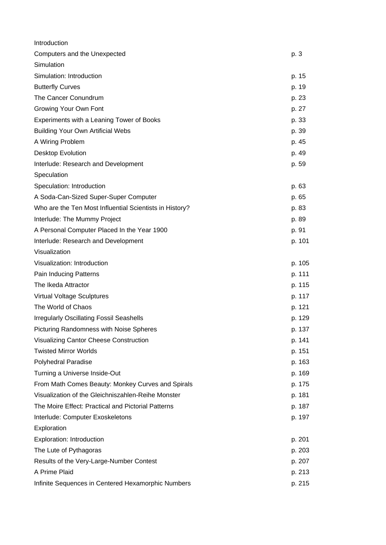| Introduction                                            |        |
|---------------------------------------------------------|--------|
| Computers and the Unexpected                            | p. 3   |
| Simulation                                              |        |
| Simulation: Introduction                                | p. 15  |
| <b>Butterfly Curves</b>                                 | p. 19  |
| The Cancer Conundrum                                    | p. 23  |
| Growing Your Own Font                                   | p. 27  |
| Experiments with a Leaning Tower of Books               | p. 33  |
| <b>Building Your Own Artificial Webs</b>                | p. 39  |
| A Wiring Problem                                        | p. 45  |
| <b>Desktop Evolution</b>                                | p. 49  |
| Interlude: Research and Development                     | p. 59  |
| Speculation                                             |        |
| Speculation: Introduction                               | p. 63  |
| A Soda-Can-Sized Super-Super Computer                   | p. 65  |
| Who are the Ten Most Influential Scientists in History? | p. 83  |
| Interlude: The Mummy Project                            | p. 89  |
| A Personal Computer Placed In the Year 1900             | p. 91  |
| Interlude: Research and Development                     | p. 101 |
| Visualization                                           |        |
| Visualization: Introduction                             | p. 105 |
| Pain Inducing Patterns                                  | p. 111 |
| The Ikeda Attractor                                     | p. 115 |
| <b>Virtual Voltage Sculptures</b>                       | p. 117 |
| The World of Chaos                                      | p. 121 |
| <b>Irregularly Oscillating Fossil Seashells</b>         | p. 129 |
| Picturing Randomness with Noise Spheres                 | p. 137 |
| Visualizing Cantor Cheese Construction                  | p. 141 |
| <b>Twisted Mirror Worlds</b>                            | p. 151 |
| <b>Polyhedral Paradise</b>                              | p. 163 |
| Turning a Universe Inside-Out                           | p. 169 |
| From Math Comes Beauty: Monkey Curves and Spirals       | p. 175 |
| Visualization of the Gleichniszahlen-Reihe Monster      | p. 181 |
| The Moire Effect: Practical and Pictorial Patterns      | p. 187 |
| Interlude: Computer Exoskeletons                        | p. 197 |
| Exploration                                             |        |
| Exploration: Introduction                               | p. 201 |
| The Lute of Pythagoras                                  | p. 203 |
| Results of the Very-Large-Number Contest                | p. 207 |
| A Prime Plaid                                           | p. 213 |
| Infinite Sequences in Centered Hexamorphic Numbers      | p. 215 |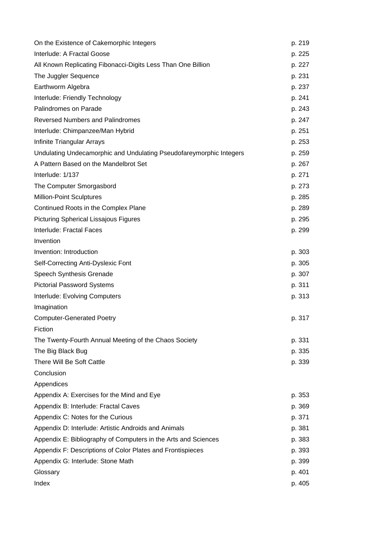| On the Existence of Cakemorphic Integers                            | p. 219 |
|---------------------------------------------------------------------|--------|
| Interlude: A Fractal Goose                                          | p. 225 |
| All Known Replicating Fibonacci-Digits Less Than One Billion        | p. 227 |
| The Juggler Sequence                                                | p. 231 |
| Earthworm Algebra                                                   | p. 237 |
| Interlude: Friendly Technology                                      | p. 241 |
| Palindromes on Parade                                               | p. 243 |
| <b>Reversed Numbers and Palindromes</b>                             | p. 247 |
| Interlude: Chimpanzee/Man Hybrid                                    | p. 251 |
| Infinite Triangular Arrays                                          | p. 253 |
| Undulating Undecamorphic and Undulating Pseudofareymorphic Integers | p. 259 |
| A Pattern Based on the Mandelbrot Set                               | p. 267 |
| Interlude: 1/137                                                    | p. 271 |
| The Computer Smorgasbord                                            | p. 273 |
| <b>Million-Point Sculptures</b>                                     | p. 285 |
| Continued Roots in the Complex Plane                                | p. 289 |
| <b>Picturing Spherical Lissajous Figures</b>                        | p. 295 |
| Interlude: Fractal Faces                                            | p. 299 |
| Invention                                                           |        |
| Invention: Introduction                                             | p. 303 |
| Self-Correcting Anti-Dyslexic Font                                  | p. 305 |
| Speech Synthesis Grenade                                            | p. 307 |
| <b>Pictorial Password Systems</b>                                   | p. 311 |
| Interlude: Evolving Computers                                       | p. 313 |
| Imagination                                                         |        |
| <b>Computer-Generated Poetry</b>                                    | p. 317 |
| Fiction                                                             |        |
| The Twenty-Fourth Annual Meeting of the Chaos Society               | p. 331 |
| The Big Black Bug                                                   | p. 335 |
| There Will Be Soft Cattle                                           | p. 339 |
| Conclusion                                                          |        |
| Appendices                                                          |        |
| Appendix A: Exercises for the Mind and Eye                          | p. 353 |
| Appendix B: Interlude: Fractal Caves                                | p. 369 |
| Appendix C: Notes for the Curious                                   | p. 371 |
| Appendix D: Interlude: Artistic Androids and Animals                | p. 381 |
| Appendix E: Bibliography of Computers in the Arts and Sciences      | p. 383 |
| Appendix F: Descriptions of Color Plates and Frontispieces          | p. 393 |
| Appendix G: Interlude: Stone Math                                   | p. 399 |
| Glossary                                                            | p. 401 |
| Index                                                               | p. 405 |